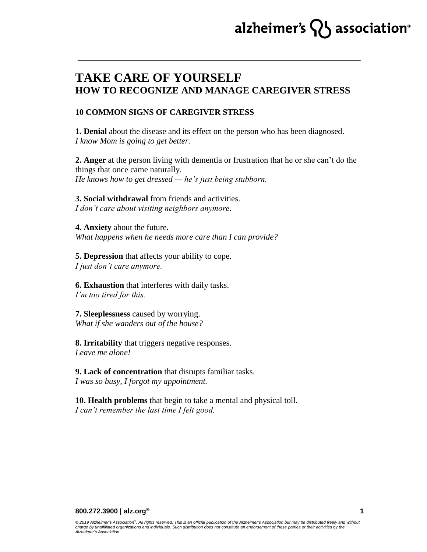# alzheimer's  $\{ \}$  association<sup>®</sup>

# **TAKE CARE OF YOURSELF HOW TO RECOGNIZE AND MANAGE CAREGIVER STRESS**

#### **10 COMMON SIGNS OF CAREGIVER STRESS**

**1. Denial** about the disease and its effect on the person who has been diagnosed. *I know Mom is going to get better.*

**2. Anger** at the person living with dementia or frustration that he or she can't do the things that once came naturally. *He knows how to get dressed — he's just being stubborn.*

**3. Social withdrawal** from friends and activities. *I don't care about visiting neighbors anymore.*

**4. Anxiety** about the future. *What happens when he needs more care than I can provide?*

**5. Depression** that affects your ability to cope. *I just don't care anymore.*

**6. Exhaustion** that interferes with daily tasks. *I'm too tired for this.*

**7. Sleeplessness** caused by worrying. *What if she wanders out of the house?*

**8. Irritability** that triggers negative responses. *Leave me alone!*

**9. Lack of concentration** that disrupts familiar tasks. *I was so busy, I forgot my appointment.*

**10. Health problems** that begin to take a mental and physical toll. *I can't remember the last time I felt good.*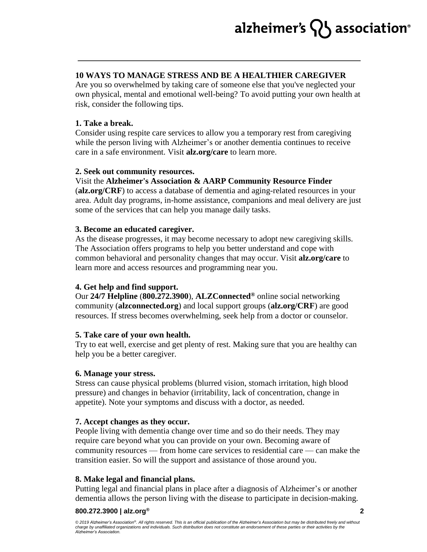### **10 WAYS TO MANAGE STRESS AND BE A HEALTHIER CAREGIVER**

Are you so overwhelmed by taking care of someone else that you've neglected your own physical, mental and emotional well-being? To avoid putting your own health at risk, consider the following tips.

#### **1. Take a break.**

Consider using respite care services to allow you a temporary rest from caregiving while the person living with Alzheimer's or another dementia continues to receive care in a safe environment. Visit **alz.org/care** to learn more.

### **2. Seek out community resources.**

# Visit the **Alzheimer's Association & AARP Community Resource Finder**

(**alz.org/CRF**) to access a database of dementia and aging-related resources in your area. Adult day programs, in-home assistance, companions and meal delivery are just some of the services that can help you manage daily tasks.

#### **3. Become an educated caregiver.**

As the disease progresses, it may become necessary to adopt new caregiving skills. The Association offers programs to help you better understand and cope with common behavioral and personality changes that may occur. Visit **alz.org/care** to learn more and access resources and programming near you.

#### **4. Get help and find support.**

Our **24/7 Helpline** (**800.272.3900**), **ALZConnected®** online social networking community (**alzconnected.org**) and local support groups (**alz.org/CRF**) are good resources. If stress becomes overwhelming, seek help from a doctor or counselor.

#### **5. Take care of your own health.**

Try to eat well, exercise and get plenty of rest. Making sure that you are healthy can help you be a better caregiver.

#### **6. Manage your stress.**

Stress can cause physical problems (blurred vision, stomach irritation, high blood pressure) and changes in behavior (irritability, lack of concentration, change in appetite). Note your symptoms and discuss with a doctor, as needed.

# **7. Accept changes as they occur.**

People living with dementia change over time and so do their needs. They may require care beyond what you can provide on your own. Becoming aware of community resources — from home care services to residential care — can make the transition easier. So will the support and assistance of those around you.

#### **8. Make legal and financial plans.**

Putting legal and financial plans in place after a diagnosis of Alzheimer's or another dementia allows the person living with the disease to participate in decision-making.

#### **800.272.3900 | alz.org®**

*© 2019 Alzheimer's Association® . All rights reserved. This is an official publication of the Alzheimer's Association but may be distributed freely and without charge by unaffiliated organizations and individuals. Such distribution does not constitute an endorsement of these parties or their activities by the Alzheimer's Association.*